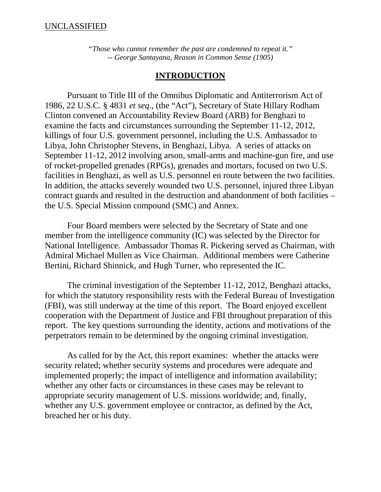*"Those who cannot remember the past are condemned to repeat it." -- George Santayana, Reason in Common Sense (1905)*

## **INTRODUCTION**

Pursuant to Title III of the Omnibus Diplomatic and Antiterrorism Act of 1986, 22 U.S.C. § 4831 *et seq.*, (the "Act"), Secretary of State Hillary Rodham Clinton convened an Accountability Review Board (ARB) for Benghazi to examine the facts and circumstances surrounding the September 11-12, 2012, killings of four U.S. government personnel, including the U.S. Ambassador to Libya, John Christopher Stevens, in Benghazi, Libya. A series of attacks on September 11-12, 2012 involving arson, small-arms and machine-gun fire, and use of rocket-propelled grenades (RPGs), grenades and mortars, focused on two U.S. facilities in Benghazi, as well as U.S. personnel en route between the two facilities. In addition, the attacks severely wounded two U.S. personnel, injured three Libyan contract guards and resulted in the destruction and abandonment of both facilities – the U.S. Special Mission compound (SMC) and Annex.

Four Board members were selected by the Secretary of State and one member from the intelligence community (IC) was selected by the Director for National Intelligence. Ambassador Thomas R. Pickering served as Chairman, with Admiral Michael Mullen as Vice Chairman. Additional members were Catherine Bertini, Richard Shinnick, and Hugh Turner, who represented the IC.

The criminal investigation of the September 11-12, 2012, Benghazi attacks, for which the statutory responsibility rests with the Federal Bureau of Investigation (FBI), was still underway at the time of this report. The Board enjoyed excellent cooperation with the Department of Justice and FBI throughout preparation of this report. The key questions surrounding the identity, actions and motivations of the perpetrators remain to be determined by the ongoing criminal investigation.

As called for by the Act, this report examines: whether the attacks were security related; whether security systems and procedures were adequate and implemented properly; the impact of intelligence and information availability; whether any other facts or circumstances in these cases may be relevant to appropriate security management of U.S. missions worldwide; and, finally, whether any U.S. government employee or contractor, as defined by the Act, breached her or his duty.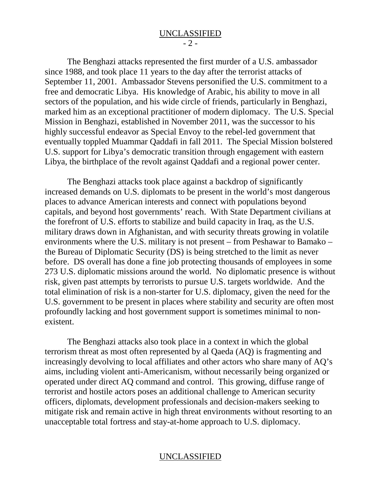#### UNCLASSIFIED  $-2 -$

The Benghazi attacks represented the first murder of a U.S. ambassador since 1988, and took place 11 years to the day after the terrorist attacks of September 11, 2001. Ambassador Stevens personified the U.S. commitment to a free and democratic Libya. His knowledge of Arabic, his ability to move in all sectors of the population, and his wide circle of friends, particularly in Benghazi, marked him as an exceptional practitioner of modern diplomacy. The U.S. Special Mission in Benghazi, established in November 2011, was the successor to his highly successful endeavor as Special Envoy to the rebel-led government that eventually toppled Muammar Qaddafi in fall 2011. The Special Mission bolstered U.S. support for Libya's democratic transition through engagement with eastern Libya, the birthplace of the revolt against Qaddafi and a regional power center.

The Benghazi attacks took place against a backdrop of significantly increased demands on U.S. diplomats to be present in the world's most dangerous places to advance American interests and connect with populations beyond capitals, and beyond host governments' reach. With State Department civilians at the forefront of U.S. efforts to stabilize and build capacity in Iraq, as the U.S. military draws down in Afghanistan, and with security threats growing in volatile environments where the U.S. military is not present – from Peshawar to Bamako – the Bureau of Diplomatic Security (DS) is being stretched to the limit as never before. DS overall has done a fine job protecting thousands of employees in some 273 U.S. diplomatic missions around the world. No diplomatic presence is without risk, given past attempts by terrorists to pursue U.S. targets worldwide. And the total elimination of risk is a non-starter for U.S. diplomacy, given the need for the U.S. government to be present in places where stability and security are often most profoundly lacking and host government support is sometimes minimal to nonexistent.

The Benghazi attacks also took place in a context in which the global terrorism threat as most often represented by al Qaeda (AQ) is fragmenting and increasingly devolving to local affiliates and other actors who share many of AQ's aims, including violent anti-Americanism, without necessarily being organized or operated under direct AQ command and control. This growing, diffuse range of terrorist and hostile actors poses an additional challenge to American security officers, diplomats, development professionals and decision-makers seeking to mitigate risk and remain active in high threat environments without resorting to an unacceptable total fortress and stay-at-home approach to U.S. diplomacy.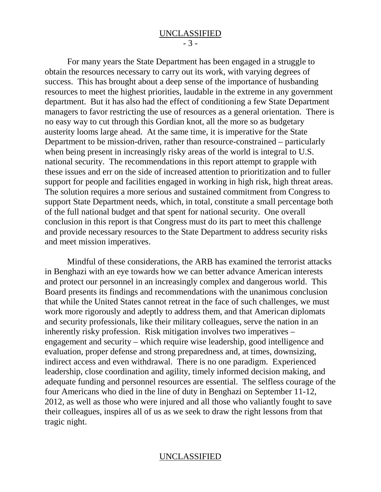#### UNCLASSIFIED - 3 -

For many years the State Department has been engaged in a struggle to obtain the resources necessary to carry out its work, with varying degrees of success. This has brought about a deep sense of the importance of husbanding resources to meet the highest priorities, laudable in the extreme in any government department. But it has also had the effect of conditioning a few State Department managers to favor restricting the use of resources as a general orientation. There is no easy way to cut through this Gordian knot, all the more so as budgetary austerity looms large ahead. At the same time, it is imperative for the State Department to be mission-driven, rather than resource-constrained – particularly when being present in increasingly risky areas of the world is integral to U.S. national security. The recommendations in this report attempt to grapple with these issues and err on the side of increased attention to prioritization and to fuller support for people and facilities engaged in working in high risk, high threat areas. The solution requires a more serious and sustained commitment from Congress to support State Department needs, which, in total, constitute a small percentage both of the full national budget and that spent for national security. One overall conclusion in this report is that Congress must do its part to meet this challenge and provide necessary resources to the State Department to address security risks and meet mission imperatives.

Mindful of these considerations, the ARB has examined the terrorist attacks in Benghazi with an eye towards how we can better advance American interests and protect our personnel in an increasingly complex and dangerous world. This Board presents its findings and recommendations with the unanimous conclusion that while the United States cannot retreat in the face of such challenges, we must work more rigorously and adeptly to address them, and that American diplomats and security professionals, like their military colleagues, serve the nation in an inherently risky profession. Risk mitigation involves two imperatives – engagement and security – which require wise leadership, good intelligence and evaluation, proper defense and strong preparedness and, at times, downsizing, indirect access and even withdrawal. There is no one paradigm. Experienced leadership, close coordination and agility, timely informed decision making, and adequate funding and personnel resources are essential. The selfless courage of the four Americans who died in the line of duty in Benghazi on September 11-12, 2012, as well as those who were injured and all those who valiantly fought to save their colleagues, inspires all of us as we seek to draw the right lessons from that tragic night.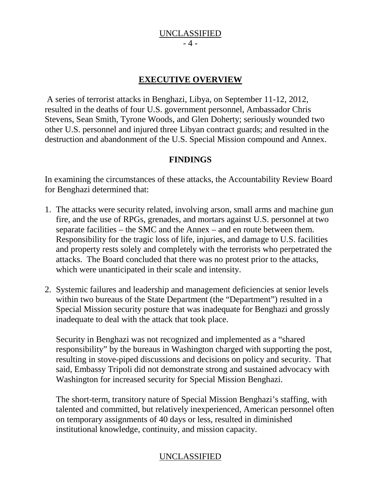### UNCLASSIFIED  $-4-$

## **EXECUTIVE OVERVIEW**

A series of terrorist attacks in Benghazi, Libya, on September 11-12, 2012, resulted in the deaths of four U.S. government personnel, Ambassador Chris Stevens, Sean Smith, Tyrone Woods, and Glen Doherty; seriously wounded two other U.S. personnel and injured three Libyan contract guards; and resulted in the destruction and abandonment of the U.S. Special Mission compound and Annex.

## **FINDINGS**

In examining the circumstances of these attacks, the Accountability Review Board for Benghazi determined that:

- 1. The attacks were security related, involving arson, small arms and machine gun fire, and the use of RPGs, grenades, and mortars against U.S. personnel at two separate facilities – the SMC and the Annex – and en route between them. Responsibility for the tragic loss of life, injuries, and damage to U.S. facilities and property rests solely and completely with the terrorists who perpetrated the attacks. The Board concluded that there was no protest prior to the attacks, which were unanticipated in their scale and intensity.
- 2. Systemic failures and leadership and management deficiencies at senior levels within two bureaus of the State Department (the "Department") resulted in a Special Mission security posture that was inadequate for Benghazi and grossly inadequate to deal with the attack that took place.

Security in Benghazi was not recognized and implemented as a "shared responsibility" by the bureaus in Washington charged with supporting the post, resulting in stove-piped discussions and decisions on policy and security. That said, Embassy Tripoli did not demonstrate strong and sustained advocacy with Washington for increased security for Special Mission Benghazi.

The short-term, transitory nature of Special Mission Benghazi's staffing, with talented and committed, but relatively inexperienced, American personnel often on temporary assignments of 40 days or less, resulted in diminished institutional knowledge, continuity, and mission capacity.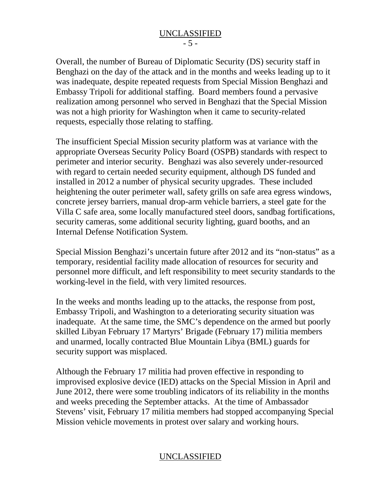## UNCLASSIFIED - 5 -

Overall, the number of Bureau of Diplomatic Security (DS) security staff in Benghazi on the day of the attack and in the months and weeks leading up to it was inadequate, despite repeated requests from Special Mission Benghazi and Embassy Tripoli for additional staffing. Board members found a pervasive realization among personnel who served in Benghazi that the Special Mission was not a high priority for Washington when it came to security-related requests, especially those relating to staffing.

The insufficient Special Mission security platform was at variance with the appropriate Overseas Security Policy Board (OSPB) standards with respect to perimeter and interior security. Benghazi was also severely under-resourced with regard to certain needed security equipment, although DS funded and installed in 2012 a number of physical security upgrades. These included heightening the outer perimeter wall, safety grills on safe area egress windows, concrete jersey barriers, manual drop-arm vehicle barriers, a steel gate for the Villa C safe area, some locally manufactured steel doors, sandbag fortifications, security cameras, some additional security lighting, guard booths, and an Internal Defense Notification System.

Special Mission Benghazi's uncertain future after 2012 and its "non-status" as a temporary, residential facility made allocation of resources for security and personnel more difficult, and left responsibility to meet security standards to the working-level in the field, with very limited resources.

In the weeks and months leading up to the attacks, the response from post, Embassy Tripoli, and Washington to a deteriorating security situation was inadequate. At the same time, the SMC's dependence on the armed but poorly skilled Libyan February 17 Martyrs' Brigade (February 17) militia members and unarmed, locally contracted Blue Mountain Libya (BML) guards for security support was misplaced.

Although the February 17 militia had proven effective in responding to improvised explosive device (IED) attacks on the Special Mission in April and June 2012, there were some troubling indicators of its reliability in the months and weeks preceding the September attacks. At the time of Ambassador Stevens' visit, February 17 militia members had stopped accompanying Special Mission vehicle movements in protest over salary and working hours.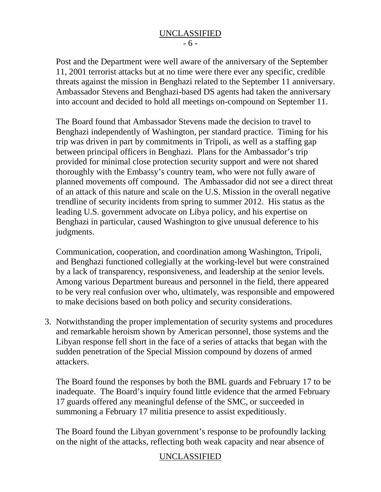## UNCLASSIFIED - 6 -

Post and the Department were well aware of the anniversary of the September 11, 2001 terrorist attacks but at no time were there ever any specific, credible threats against the mission in Benghazi related to the September 11 anniversary. Ambassador Stevens and Benghazi-based DS agents had taken the anniversary into account and decided to hold all meetings on-compound on September 11.

The Board found that Ambassador Stevens made the decision to travel to Benghazi independently of Washington, per standard practice. Timing for his trip was driven in part by commitments in Tripoli, as well as a staffing gap between principal officers in Benghazi. Plans for the Ambassador's trip provided for minimal close protection security support and were not shared thoroughly with the Embassy's country team, who were not fully aware of planned movements off compound. The Ambassador did not see a direct threat of an attack of this nature and scale on the U.S. Mission in the overall negative trendline of security incidents from spring to summer 2012. His status as the leading U.S. government advocate on Libya policy, and his expertise on Benghazi in particular, caused Washington to give unusual deference to his judgments.

Communication, cooperation, and coordination among Washington, Tripoli, and Benghazi functioned collegially at the working-level but were constrained by a lack of transparency, responsiveness, and leadership at the senior levels. Among various Department bureaus and personnel in the field, there appeared to be very real confusion over who, ultimately, was responsible and empowered to make decisions based on both policy and security considerations.

3. Notwithstanding the proper implementation of security systems and procedures and remarkable heroism shown by American personnel, those systems and the Libyan response fell short in the face of a series of attacks that began with the sudden penetration of the Special Mission compound by dozens of armed attackers.

The Board found the responses by both the BML guards and February 17 to be inadequate. The Board's inquiry found little evidence that the armed February 17 guards offered any meaningful defense of the SMC, or succeeded in summoning a February 17 militia presence to assist expeditiously.

The Board found the Libyan government's response to be profoundly lacking on the night of the attacks, reflecting both weak capacity and near absence of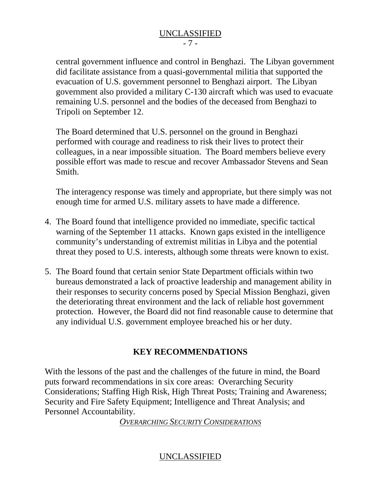## UNCLASSIFIED - 7 -

central government influence and control in Benghazi. The Libyan government did facilitate assistance from a quasi-governmental militia that supported the evacuation of U.S. government personnel to Benghazi airport. The Libyan government also provided a military C-130 aircraft which was used to evacuate remaining U.S. personnel and the bodies of the deceased from Benghazi to Tripoli on September 12.

The Board determined that U.S. personnel on the ground in Benghazi performed with courage and readiness to risk their lives to protect their colleagues, in a near impossible situation. The Board members believe every possible effort was made to rescue and recover Ambassador Stevens and Sean Smith.

The interagency response was timely and appropriate, but there simply was not enough time for armed U.S. military assets to have made a difference.

- 4. The Board found that intelligence provided no immediate, specific tactical warning of the September 11 attacks. Known gaps existed in the intelligence community's understanding of extremist militias in Libya and the potential threat they posed to U.S. interests, although some threats were known to exist.
- 5. The Board found that certain senior State Department officials within two bureaus demonstrated a lack of proactive leadership and management ability in their responses to security concerns posed by Special Mission Benghazi, given the deteriorating threat environment and the lack of reliable host government protection. However, the Board did not find reasonable cause to determine that any individual U.S. government employee breached his or her duty.

## **KEY RECOMMENDATIONS**

With the lessons of the past and the challenges of the future in mind, the Board puts forward recommendations in six core areas: Overarching Security Considerations; Staffing High Risk, High Threat Posts; Training and Awareness; Security and Fire Safety Equipment; Intelligence and Threat Analysis; and Personnel Accountability.

*OVERARCHING SECURITY CONSIDERATIONS*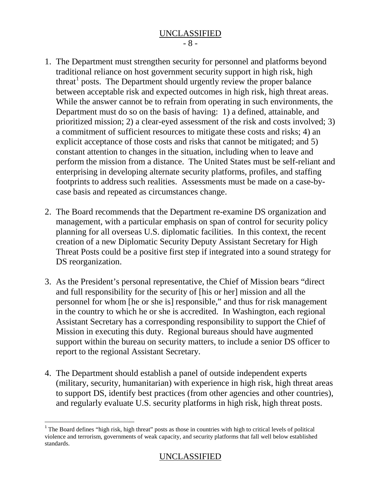- 1. The Department must strengthen security for personnel and platforms beyond traditional reliance on host government security support in high risk, high threat<sup>[1](#page-7-0)</sup> posts. The Department should urgently review the proper balance between acceptable risk and expected outcomes in high risk, high threat areas. While the answer cannot be to refrain from operating in such environments, the Department must do so on the basis of having: 1) a defined, attainable, and prioritized mission; 2) a clear-eyed assessment of the risk and costs involved; 3) a commitment of sufficient resources to mitigate these costs and risks; 4) an explicit acceptance of those costs and risks that cannot be mitigated; and 5) constant attention to changes in the situation, including when to leave and perform the mission from a distance. The United States must be self-reliant and enterprising in developing alternate security platforms, profiles, and staffing footprints to address such realities. Assessments must be made on a case-bycase basis and repeated as circumstances change.
- 2. The Board recommends that the Department re-examine DS organization and management, with a particular emphasis on span of control for security policy planning for all overseas U.S. diplomatic facilities. In this context, the recent creation of a new Diplomatic Security Deputy Assistant Secretary for High Threat Posts could be a positive first step if integrated into a sound strategy for DS reorganization.
- 3. As the President's personal representative, the Chief of Mission bears "direct and full responsibility for the security of [his or her] mission and all the personnel for whom [he or she is] responsible," and thus for risk management in the country to which he or she is accredited. In Washington, each regional Assistant Secretary has a corresponding responsibility to support the Chief of Mission in executing this duty. Regional bureaus should have augmented support within the bureau on security matters, to include a senior DS officer to report to the regional Assistant Secretary.
- 4. The Department should establish a panel of outside independent experts (military, security, humanitarian) with experience in high risk, high threat areas to support DS, identify best practices (from other agencies and other countries), and regularly evaluate U.S. security platforms in high risk, high threat posts.

<span id="page-7-0"></span><sup>&</sup>lt;sup>1</sup> The Board defines "high risk, high threat" posts as those in countries with high to critical levels of political violence and terrorism, governments of weak capacity, and security platforms that fall well below established standards.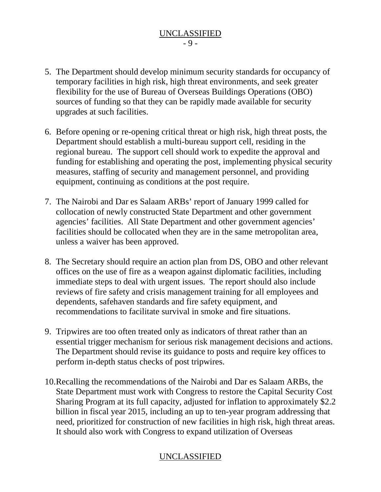## UNCLASSIFIED  $-9 -$

- 5. The Department should develop minimum security standards for occupancy of temporary facilities in high risk, high threat environments, and seek greater flexibility for the use of Bureau of Overseas Buildings Operations (OBO) sources of funding so that they can be rapidly made available for security upgrades at such facilities.
- 6. Before opening or re-opening critical threat or high risk, high threat posts, the Department should establish a multi-bureau support cell, residing in the regional bureau. The support cell should work to expedite the approval and funding for establishing and operating the post, implementing physical security measures, staffing of security and management personnel, and providing equipment, continuing as conditions at the post require.
- 7. The Nairobi and Dar es Salaam ARBs' report of January 1999 called for collocation of newly constructed State Department and other government agencies' facilities. All State Department and other government agencies' facilities should be collocated when they are in the same metropolitan area, unless a waiver has been approved.
- 8. The Secretary should require an action plan from DS, OBO and other relevant offices on the use of fire as a weapon against diplomatic facilities, including immediate steps to deal with urgent issues. The report should also include reviews of fire safety and crisis management training for all employees and dependents, safehaven standards and fire safety equipment, and recommendations to facilitate survival in smoke and fire situations.
- 9. Tripwires are too often treated only as indicators of threat rather than an essential trigger mechanism for serious risk management decisions and actions. The Department should revise its guidance to posts and require key offices to perform in-depth status checks of post tripwires.
- 10.Recalling the recommendations of the Nairobi and Dar es Salaam ARBs, the State Department must work with Congress to restore the Capital Security Cost Sharing Program at its full capacity, adjusted for inflation to approximately \$2.2 billion in fiscal year 2015, including an up to ten-year program addressing that need, prioritized for construction of new facilities in high risk, high threat areas. It should also work with Congress to expand utilization of Overseas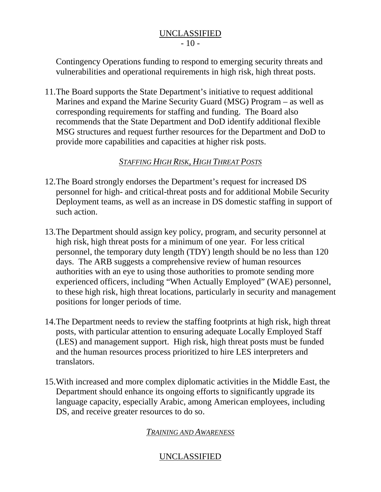## UNCLASSIFIED  $-10-$

Contingency Operations funding to respond to emerging security threats and vulnerabilities and operational requirements in high risk, high threat posts.

11.The Board supports the State Department's initiative to request additional Marines and expand the Marine Security Guard (MSG) Program – as well as corresponding requirements for staffing and funding. The Board also recommends that the State Department and DoD identify additional flexible MSG structures and request further resources for the Department and DoD to provide more capabilities and capacities at higher risk posts.

# *STAFFING HIGH RISK, HIGH THREAT POSTS*

- 12.The Board strongly endorses the Department's request for increased DS personnel for high- and critical-threat posts and for additional Mobile Security Deployment teams, as well as an increase in DS domestic staffing in support of such action.
- 13.The Department should assign key policy, program, and security personnel at high risk, high threat posts for a minimum of one year. For less critical personnel, the temporary duty length (TDY) length should be no less than 120 days. The ARB suggests a comprehensive review of human resources authorities with an eye to using those authorities to promote sending more experienced officers, including "When Actually Employed" (WAE) personnel, to these high risk, high threat locations, particularly in security and management positions for longer periods of time.
- 14.The Department needs to review the staffing footprints at high risk, high threat posts, with particular attention to ensuring adequate Locally Employed Staff (LES) and management support. High risk, high threat posts must be funded and the human resources process prioritized to hire LES interpreters and translators.
- 15.With increased and more complex diplomatic activities in the Middle East, the Department should enhance its ongoing efforts to significantly upgrade its language capacity, especially Arabic, among American employees, including DS, and receive greater resources to do so.

# *TRAINING AND AWARENESS*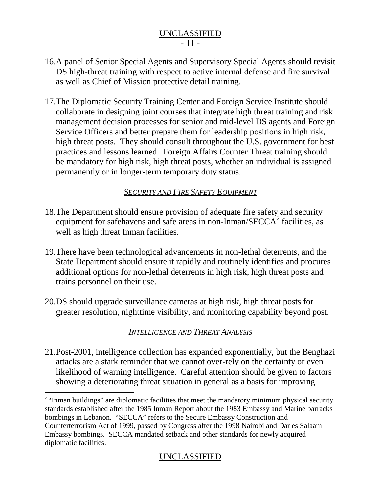## UNCLASSIFIED  $-11 -$

- 16.A panel of Senior Special Agents and Supervisory Special Agents should revisit DS high-threat training with respect to active internal defense and fire survival as well as Chief of Mission protective detail training.
- 17.The Diplomatic Security Training Center and Foreign Service Institute should collaborate in designing joint courses that integrate high threat training and risk management decision processes for senior and mid-level DS agents and Foreign Service Officers and better prepare them for leadership positions in high risk, high threat posts. They should consult throughout the U.S. government for best practices and lessons learned. Foreign Affairs Counter Threat training should be mandatory for high risk, high threat posts, whether an individual is assigned permanently or in longer-term temporary duty status.

## *SECURITY AND FIRE SAFETY EQUIPMENT*

- 18.The Department should ensure provision of adequate fire safety and security equipment for safehavens and safe areas in non-Inman/SECCA<sup>[2](#page-10-0)</sup> facilities, as well as high threat Inman facilities.
- 19.There have been technological advancements in non-lethal deterrents, and the State Department should ensure it rapidly and routinely identifies and procures additional options for non-lethal deterrents in high risk, high threat posts and trains personnel on their use.
- 20.DS should upgrade surveillance cameras at high risk, high threat posts for greater resolution, nighttime visibility, and monitoring capability beyond post.

## *INTELLIGENCE AND THREAT ANALYSIS*

21.Post-2001, intelligence collection has expanded exponentially, but the Benghazi attacks are a stark reminder that we cannot over-rely on the certainty or even likelihood of warning intelligence. Careful attention should be given to factors showing a deteriorating threat situation in general as a basis for improving

<span id="page-10-0"></span><sup>&</sup>lt;sup>2</sup> "Inman buildings" are diplomatic facilities that meet the mandatory minimum physical security standards established after the 1985 Inman Report about the 1983 Embassy and Marine barracks bombings in Lebanon. "SECCA" refers to the Secure Embassy Construction and Counterterrorism Act of 1999, passed by Congress after the 1998 Nairobi and Dar es Salaam Embassy bombings. SECCA mandated setback and other standards for newly acquired diplomatic facilities.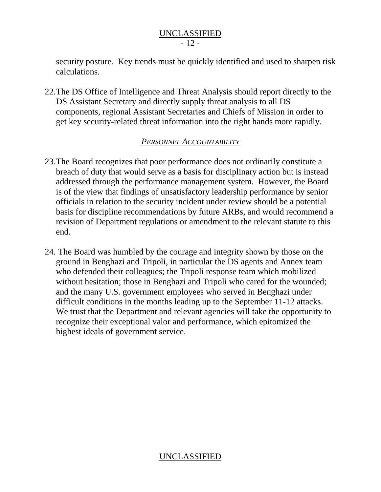security posture. Key trends must be quickly identified and used to sharpen risk calculations.

22.The DS Office of Intelligence and Threat Analysis should report directly to the DS Assistant Secretary and directly supply threat analysis to all DS components, regional Assistant Secretaries and Chiefs of Mission in order to get key security-related threat information into the right hands more rapidly.

## *PERSONNEL ACCOUNTABILITY*

- 23.The Board recognizes that poor performance does not ordinarily constitute a breach of duty that would serve as a basis for disciplinary action but is instead addressed through the performance management system. However, the Board is of the view that findings of unsatisfactory leadership performance by senior officials in relation to the security incident under review should be a potential basis for discipline recommendations by future ARBs, and would recommend a revision of Department regulations or amendment to the relevant statute to this end.
- 24. The Board was humbled by the courage and integrity shown by those on the ground in Benghazi and Tripoli, in particular the DS agents and Annex team who defended their colleagues; the Tripoli response team which mobilized without hesitation; those in Benghazi and Tripoli who cared for the wounded; and the many U.S. government employees who served in Benghazi under difficult conditions in the months leading up to the September 11-12 attacks. We trust that the Department and relevant agencies will take the opportunity to recognize their exceptional valor and performance, which epitomized the highest ideals of government service.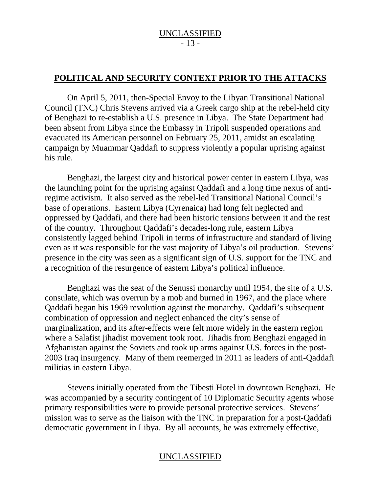## **POLITICAL AND SECURITY CONTEXT PRIOR TO THE ATTACKS**

On April 5, 2011, then-Special Envoy to the Libyan Transitional National Council (TNC) Chris Stevens arrived via a Greek cargo ship at the rebel-held city of Benghazi to re-establish a U.S. presence in Libya. The State Department had been absent from Libya since the Embassy in Tripoli suspended operations and evacuated its American personnel on February 25, 2011, amidst an escalating campaign by Muammar Qaddafi to suppress violently a popular uprising against his rule.

Benghazi, the largest city and historical power center in eastern Libya, was the launching point for the uprising against Qaddafi and a long time nexus of antiregime activism. It also served as the rebel-led Transitional National Council's base of operations. Eastern Libya (Cyrenaica) had long felt neglected and oppressed by Qaddafi, and there had been historic tensions between it and the rest of the country. Throughout Qaddafi's decades-long rule, eastern Libya consistently lagged behind Tripoli in terms of infrastructure and standard of living even as it was responsible for the vast majority of Libya's oil production. Stevens' presence in the city was seen as a significant sign of U.S. support for the TNC and a recognition of the resurgence of eastern Libya's political influence.

Benghazi was the seat of the Senussi monarchy until 1954, the site of a U.S. consulate, which was overrun by a mob and burned in 1967, and the place where Qaddafi began his 1969 revolution against the monarchy. Qaddafi's subsequent combination of oppression and neglect enhanced the city's sense of marginalization, and its after-effects were felt more widely in the eastern region where a Salafist jihadist movement took root. Jihadis from Benghazi engaged in Afghanistan against the Soviets and took up arms against U.S. forces in the post-2003 Iraq insurgency. Many of them reemerged in 2011 as leaders of anti-Qaddafi militias in eastern Libya.

Stevens initially operated from the Tibesti Hotel in downtown Benghazi. He was accompanied by a security contingent of 10 Diplomatic Security agents whose primary responsibilities were to provide personal protective services. Stevens' mission was to serve as the liaison with the TNC in preparation for a post-Qaddafi democratic government in Libya. By all accounts, he was extremely effective,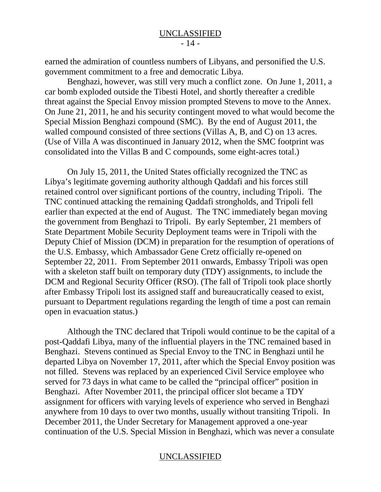earned the admiration of countless numbers of Libyans, and personified the U.S. government commitment to a free and democratic Libya.

Benghazi, however, was still very much a conflict zone. On June 1, 2011, a car bomb exploded outside the Tibesti Hotel, and shortly thereafter a credible threat against the Special Envoy mission prompted Stevens to move to the Annex. On June 21, 2011, he and his security contingent moved to what would become the Special Mission Benghazi compound (SMC). By the end of August 2011, the walled compound consisted of three sections (Villas A, B, and C) on 13 acres. (Use of Villa A was discontinued in January 2012, when the SMC footprint was consolidated into the Villas B and C compounds, some eight-acres total.)

On July 15, 2011, the United States officially recognized the TNC as Libya's legitimate governing authority although Qaddafi and his forces still retained control over significant portions of the country, including Tripoli. The TNC continued attacking the remaining Qaddafi strongholds, and Tripoli fell earlier than expected at the end of August. The TNC immediately began moving the government from Benghazi to Tripoli. By early September, 21 members of State Department Mobile Security Deployment teams were in Tripoli with the Deputy Chief of Mission (DCM) in preparation for the resumption of operations of the U.S. Embassy, which Ambassador Gene Cretz officially re-opened on September 22, 2011. From September 2011 onwards, Embassy Tripoli was open with a skeleton staff built on temporary duty (TDY) assignments, to include the DCM and Regional Security Officer (RSO). (The fall of Tripoli took place shortly after Embassy Tripoli lost its assigned staff and bureaucratically ceased to exist, pursuant to Department regulations regarding the length of time a post can remain open in evacuation status.)

Although the TNC declared that Tripoli would continue to be the capital of a post-Qaddafi Libya, many of the influential players in the TNC remained based in Benghazi. Stevens continued as Special Envoy to the TNC in Benghazi until he departed Libya on November 17, 2011, after which the Special Envoy position was not filled. Stevens was replaced by an experienced Civil Service employee who served for 73 days in what came to be called the "principal officer" position in Benghazi. After November 2011, the principal officer slot became a TDY assignment for officers with varying levels of experience who served in Benghazi anywhere from 10 days to over two months, usually without transiting Tripoli. In December 2011, the Under Secretary for Management approved a one-year continuation of the U.S. Special Mission in Benghazi, which was never a consulate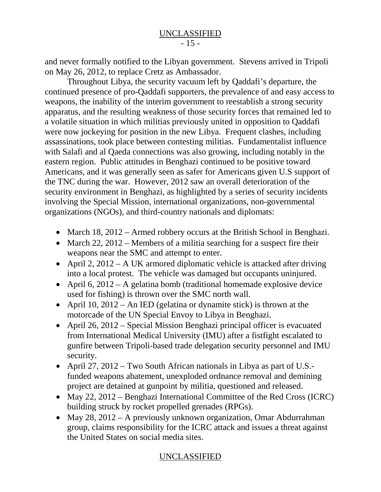and never formally notified to the Libyan government. Stevens arrived in Tripoli on May 26, 2012, to replace Cretz as Ambassador.

Throughout Libya, the security vacuum left by Qaddafi's departure, the continued presence of pro-Qaddafi supporters, the prevalence of and easy access to weapons, the inability of the interim government to reestablish a strong security apparatus, and the resulting weakness of those security forces that remained led to a volatile situation in which militias previously united in opposition to Qaddafi were now jockeying for position in the new Libya. Frequent clashes, including assassinations, took place between contesting militias. Fundamentalist influence with Salafi and al Qaeda connections was also growing, including notably in the eastern region. Public attitudes in Benghazi continued to be positive toward Americans, and it was generally seen as safer for Americans given U.S support of the TNC during the war. However, 2012 saw an overall deterioration of the security environment in Benghazi, as highlighted by a series of security incidents involving the Special Mission, international organizations, non-governmental organizations (NGOs), and third-country nationals and diplomats:

- March 18, 2012 Armed robbery occurs at the British School in Benghazi.
- March 22, 2012 Members of a militia searching for a suspect fire their weapons near the SMC and attempt to enter.
- April 2, 2012 A UK armored diplomatic vehicle is attacked after driving into a local protest. The vehicle was damaged but occupants uninjured.
- April 6, 2012 A gelatina bomb (traditional homemade explosive device used for fishing) is thrown over the SMC north wall.
- April 10, 2012 An IED (gelatina or dynamite stick) is thrown at the motorcade of the UN Special Envoy to Libya in Benghazi.
- April 26, 2012 Special Mission Benghazi principal officer is evacuated from International Medical University (IMU) after a fistfight escalated to gunfire between Tripoli-based trade delegation security personnel and IMU security.
- April 27, 2012 Two South African nationals in Libya as part of U.S.funded weapons abatement, unexploded ordnance removal and demining project are detained at gunpoint by militia, questioned and released.
- May 22, 2012 Benghazi International Committee of the Red Cross (ICRC) building struck by rocket propelled grenades (RPGs).
- May 28, 2012 A previously unknown organization, Omar Abdurrahman group, claims responsibility for the ICRC attack and issues a threat against the United States on social media sites.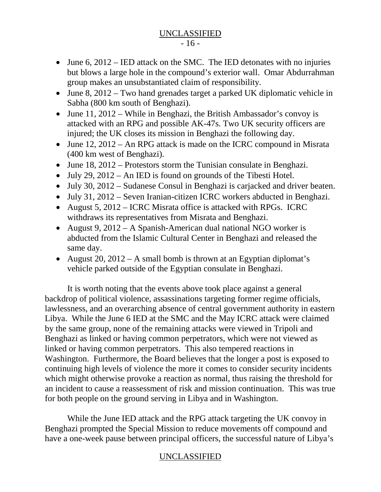## UNCLASSIFIED  $-16-$

- June 6,  $2012 IED$  attack on the SMC. The IED detonates with no injuries but blows a large hole in the compound's exterior wall. Omar Abdurrahman group makes an unsubstantiated claim of responsibility.
- June 8, 2012 Two hand grenades target a parked UK diplomatic vehicle in Sabha (800 km south of Benghazi).
- June 11, 2012 While in Benghazi, the British Ambassador's convoy is attacked with an RPG and possible AK-47s. Two UK security officers are injured; the UK closes its mission in Benghazi the following day.
- June 12, 2012 An RPG attack is made on the ICRC compound in Misrata (400 km west of Benghazi).
- June 18, 2012 Protestors storm the Tunisian consulate in Benghazi.
- July 29, 2012 An IED is found on grounds of the Tibesti Hotel.
- July 30, 2012 Sudanese Consul in Benghazi is carjacked and driver beaten.
- July 31, 2012 Seven Iranian-citizen ICRC workers abducted in Benghazi.
- August 5, 2012 ICRC Misrata office is attacked with RPGs. ICRC withdraws its representatives from Misrata and Benghazi.
- August 9, 2012 A Spanish-American dual national NGO worker is abducted from the Islamic Cultural Center in Benghazi and released the same day.
- August  $20$ ,  $2012 A$  small bomb is thrown at an Egyptian diplomat's vehicle parked outside of the Egyptian consulate in Benghazi.

It is worth noting that the events above took place against a general backdrop of political violence, assassinations targeting former regime officials, lawlessness, and an overarching absence of central government authority in eastern Libya. While the June 6 IED at the SMC and the May ICRC attack were claimed by the same group, none of the remaining attacks were viewed in Tripoli and Benghazi as linked or having common perpetrators, which were not viewed as linked or having common perpetrators. This also tempered reactions in Washington. Furthermore, the Board believes that the longer a post is exposed to continuing high levels of violence the more it comes to consider security incidents which might otherwise provoke a reaction as normal, thus raising the threshold for an incident to cause a reassessment of risk and mission continuation. This was true for both people on the ground serving in Libya and in Washington.

While the June IED attack and the RPG attack targeting the UK convoy in Benghazi prompted the Special Mission to reduce movements off compound and have a one-week pause between principal officers, the successful nature of Libya's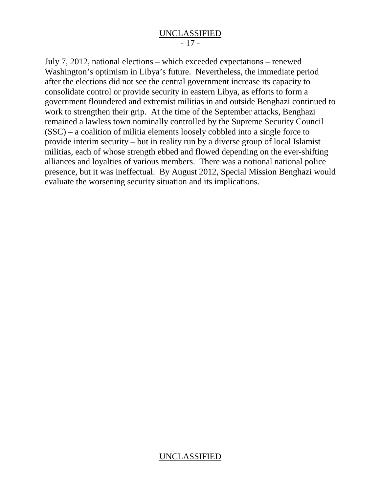## UNCLASSIFIED - 17 -

July 7, 2012, national elections – which exceeded expectations – renewed Washington's optimism in Libya's future. Nevertheless, the immediate period after the elections did not see the central government increase its capacity to consolidate control or provide security in eastern Libya, as efforts to form a government floundered and extremist militias in and outside Benghazi continued to work to strengthen their grip. At the time of the September attacks, Benghazi remained a lawless town nominally controlled by the Supreme Security Council (SSC) – a coalition of militia elements loosely cobbled into a single force to provide interim security – but in reality run by a diverse group of local Islamist militias, each of whose strength ebbed and flowed depending on the ever-shifting alliances and loyalties of various members. There was a notional national police presence, but it was ineffectual. By August 2012, Special Mission Benghazi would evaluate the worsening security situation and its implications.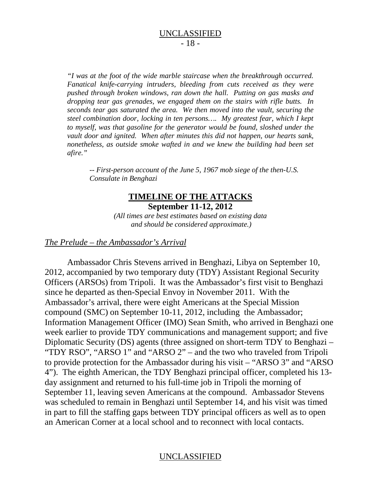*"I was at the foot of the wide marble staircase when the breakthrough occurred. Fanatical knife-carrying intruders, bleeding from cuts received as they were pushed through broken windows, ran down the hall. Putting on gas masks and dropping tear gas grenades, we engaged them on the stairs with rifle butts. In seconds tear gas saturated the area. We then moved into the vault, securing the steel combination door, locking in ten persons…. My greatest fear, which I kept*  to myself, was that gasoline for the generator would be found, sloshed under the *vault door and ignited. When after minutes this did not happen, our hearts sank, nonetheless, as outside smoke wafted in and we knew the building had been set afire."*

*-- First-person account of the June 5, 1967 mob siege of the then-U.S. Consulate in Benghazi*

#### **TIMELINE OF THE ATTACKS September 11-12, 2012**

*(All times are best estimates based on existing data and should be considered approximate.)*

### *The Prelude – the Ambassador's Arrival*

Ambassador Chris Stevens arrived in Benghazi, Libya on September 10, 2012, accompanied by two temporary duty (TDY) Assistant Regional Security Officers (ARSOs) from Tripoli. It was the Ambassador's first visit to Benghazi since he departed as then-Special Envoy in November 2011. With the Ambassador's arrival, there were eight Americans at the Special Mission compound (SMC) on September 10-11, 2012, including the Ambassador; Information Management Officer (IMO) Sean Smith, who arrived in Benghazi one week earlier to provide TDY communications and management support; and five Diplomatic Security (DS) agents (three assigned on short-term TDY to Benghazi – "TDY RSO", "ARSO 1" and "ARSO 2" – and the two who traveled from Tripoli to provide protection for the Ambassador during his visit – "ARSO 3" and "ARSO 4"). The eighth American, the TDY Benghazi principal officer, completed his 13 day assignment and returned to his full-time job in Tripoli the morning of September 11, leaving seven Americans at the compound. Ambassador Stevens was scheduled to remain in Benghazi until September 14, and his visit was timed in part to fill the staffing gaps between TDY principal officers as well as to open an American Corner at a local school and to reconnect with local contacts.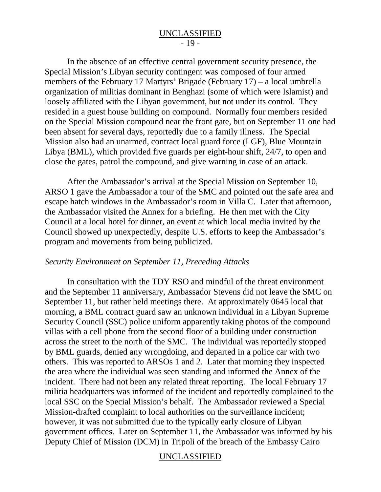### UNCLASSIFIED - 19 -

In the absence of an effective central government security presence, the Special Mission's Libyan security contingent was composed of four armed members of the February 17 Martyrs' Brigade (February 17) – a local umbrella organization of militias dominant in Benghazi (some of which were Islamist) and loosely affiliated with the Libyan government, but not under its control. They resided in a guest house building on compound. Normally four members resided on the Special Mission compound near the front gate, but on September 11 one had been absent for several days, reportedly due to a family illness. The Special Mission also had an unarmed, contract local guard force (LGF), Blue Mountain Libya (BML), which provided five guards per eight-hour shift, 24/7, to open and close the gates, patrol the compound, and give warning in case of an attack.

After the Ambassador's arrival at the Special Mission on September 10, ARSO 1 gave the Ambassador a tour of the SMC and pointed out the safe area and escape hatch windows in the Ambassador's room in Villa C. Later that afternoon, the Ambassador visited the Annex for a briefing. He then met with the City Council at a local hotel for dinner, an event at which local media invited by the Council showed up unexpectedly, despite U.S. efforts to keep the Ambassador's program and movements from being publicized.

#### *Security Environment on September 11, Preceding Attacks*

In consultation with the TDY RSO and mindful of the threat environment and the September 11 anniversary, Ambassador Stevens did not leave the SMC on September 11, but rather held meetings there. At approximately 0645 local that morning, a BML contract guard saw an unknown individual in a Libyan Supreme Security Council (SSC) police uniform apparently taking photos of the compound villas with a cell phone from the second floor of a building under construction across the street to the north of the SMC. The individual was reportedly stopped by BML guards, denied any wrongdoing, and departed in a police car with two others. This was reported to ARSOs 1 and 2. Later that morning they inspected the area where the individual was seen standing and informed the Annex of the incident. There had not been any related threat reporting. The local February 17 militia headquarters was informed of the incident and reportedly complained to the local SSC on the Special Mission's behalf. The Ambassador reviewed a Special Mission-drafted complaint to local authorities on the surveillance incident; however, it was not submitted due to the typically early closure of Libyan government offices. Later on September 11, the Ambassador was informed by his Deputy Chief of Mission (DCM) in Tripoli of the breach of the Embassy Cairo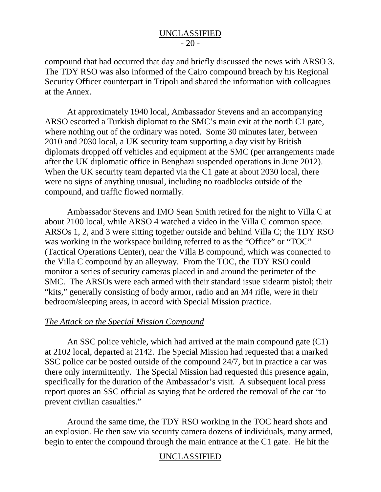## UNCLASSIFIED  $-20 -$

compound that had occurred that day and briefly discussed the news with ARSO 3. The TDY RSO was also informed of the Cairo compound breach by his Regional Security Officer counterpart in Tripoli and shared the information with colleagues at the Annex.

At approximately 1940 local, Ambassador Stevens and an accompanying ARSO escorted a Turkish diplomat to the SMC's main exit at the north C1 gate, where nothing out of the ordinary was noted. Some 30 minutes later, between 2010 and 2030 local, a UK security team supporting a day visit by British diplomats dropped off vehicles and equipment at the SMC (per arrangements made after the UK diplomatic office in Benghazi suspended operations in June 2012). When the UK security team departed via the C1 gate at about 2030 local, there were no signs of anything unusual, including no roadblocks outside of the compound, and traffic flowed normally.

Ambassador Stevens and IMO Sean Smith retired for the night to Villa C at about 2100 local, while ARSO 4 watched a video in the Villa C common space. ARSOs 1, 2, and 3 were sitting together outside and behind Villa C; the TDY RSO was working in the workspace building referred to as the "Office" or "TOC" (Tactical Operations Center), near the Villa B compound, which was connected to the Villa C compound by an alleyway. From the TOC, the TDY RSO could monitor a series of security cameras placed in and around the perimeter of the SMC. The ARSOs were each armed with their standard issue sidearm pistol; their "kits," generally consisting of body armor, radio and an M4 rifle, were in their bedroom/sleeping areas, in accord with Special Mission practice.

#### *The Attack on the Special Mission Compound*

An SSC police vehicle, which had arrived at the main compound gate (C1) at 2102 local, departed at 2142. The Special Mission had requested that a marked SSC police car be posted outside of the compound 24/7, but in practice a car was there only intermittently. The Special Mission had requested this presence again, specifically for the duration of the Ambassador's visit. A subsequent local press report quotes an SSC official as saying that he ordered the removal of the car "to prevent civilian casualties."

Around the same time, the TDY RSO working in the TOC heard shots and an explosion. He then saw via security camera dozens of individuals, many armed, begin to enter the compound through the main entrance at the C1 gate. He hit the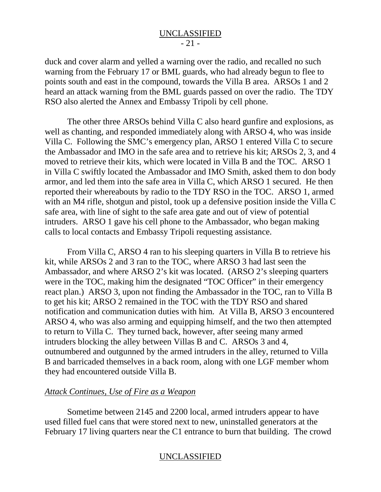## UNCLASSIFIED  $-21 -$

duck and cover alarm and yelled a warning over the radio, and recalled no such warning from the February 17 or BML guards, who had already begun to flee to points south and east in the compound, towards the Villa B area. ARSOs 1 and 2 heard an attack warning from the BML guards passed on over the radio. The TDY RSO also alerted the Annex and Embassy Tripoli by cell phone.

The other three ARSOs behind Villa C also heard gunfire and explosions, as well as chanting, and responded immediately along with ARSO 4, who was inside Villa C. Following the SMC's emergency plan, ARSO 1 entered Villa C to secure the Ambassador and IMO in the safe area and to retrieve his kit; ARSOs 2, 3, and 4 moved to retrieve their kits, which were located in Villa B and the TOC. ARSO 1 in Villa C swiftly located the Ambassador and IMO Smith, asked them to don body armor, and led them into the safe area in Villa C, which ARSO 1 secured. He then reported their whereabouts by radio to the TDY RSO in the TOC. ARSO 1, armed with an M4 rifle, shotgun and pistol, took up a defensive position inside the Villa C safe area, with line of sight to the safe area gate and out of view of potential intruders. ARSO 1 gave his cell phone to the Ambassador, who began making calls to local contacts and Embassy Tripoli requesting assistance.

From Villa C, ARSO 4 ran to his sleeping quarters in Villa B to retrieve his kit, while ARSOs 2 and 3 ran to the TOC, where ARSO 3 had last seen the Ambassador, and where ARSO 2's kit was located. (ARSO 2's sleeping quarters were in the TOC, making him the designated "TOC Officer" in their emergency react plan.) ARSO 3, upon not finding the Ambassador in the TOC, ran to Villa B to get his kit; ARSO 2 remained in the TOC with the TDY RSO and shared notification and communication duties with him. At Villa B, ARSO 3 encountered ARSO 4, who was also arming and equipping himself, and the two then attempted to return to Villa C. They turned back, however, after seeing many armed intruders blocking the alley between Villas B and C. ARSOs 3 and 4, outnumbered and outgunned by the armed intruders in the alley, returned to Villa B and barricaded themselves in a back room, along with one LGF member whom they had encountered outside Villa B.

### *Attack Continues, Use of Fire as a Weapon*

Sometime between 2145 and 2200 local, armed intruders appear to have used filled fuel cans that were stored next to new, uninstalled generators at the February 17 living quarters near the C1 entrance to burn that building. The crowd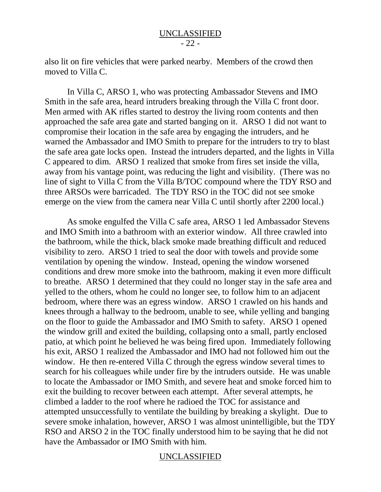also lit on fire vehicles that were parked nearby. Members of the crowd then moved to Villa C.

In Villa C, ARSO 1, who was protecting Ambassador Stevens and IMO Smith in the safe area, heard intruders breaking through the Villa C front door. Men armed with AK rifles started to destroy the living room contents and then approached the safe area gate and started banging on it. ARSO 1 did not want to compromise their location in the safe area by engaging the intruders, and he warned the Ambassador and IMO Smith to prepare for the intruders to try to blast the safe area gate locks open. Instead the intruders departed, and the lights in Villa C appeared to dim. ARSO 1 realized that smoke from fires set inside the villa, away from his vantage point, was reducing the light and visibility. (There was no line of sight to Villa C from the Villa B/TOC compound where the TDY RSO and three ARSOs were barricaded. The TDY RSO in the TOC did not see smoke emerge on the view from the camera near Villa C until shortly after 2200 local.)

As smoke engulfed the Villa C safe area, ARSO 1 led Ambassador Stevens and IMO Smith into a bathroom with an exterior window. All three crawled into the bathroom, while the thick, black smoke made breathing difficult and reduced visibility to zero. ARSO 1 tried to seal the door with towels and provide some ventilation by opening the window. Instead, opening the window worsened conditions and drew more smoke into the bathroom, making it even more difficult to breathe. ARSO 1 determined that they could no longer stay in the safe area and yelled to the others, whom he could no longer see, to follow him to an adjacent bedroom, where there was an egress window. ARSO 1 crawled on his hands and knees through a hallway to the bedroom, unable to see, while yelling and banging on the floor to guide the Ambassador and IMO Smith to safety. ARSO 1 opened the window grill and exited the building, collapsing onto a small, partly enclosed patio, at which point he believed he was being fired upon. Immediately following his exit, ARSO 1 realized the Ambassador and IMO had not followed him out the window. He then re-entered Villa C through the egress window several times to search for his colleagues while under fire by the intruders outside. He was unable to locate the Ambassador or IMO Smith, and severe heat and smoke forced him to exit the building to recover between each attempt. After several attempts, he climbed a ladder to the roof where he radioed the TOC for assistance and attempted unsuccessfully to ventilate the building by breaking a skylight. Due to severe smoke inhalation, however, ARSO 1 was almost unintelligible, but the TDY RSO and ARSO 2 in the TOC finally understood him to be saying that he did not have the Ambassador or IMO Smith with him.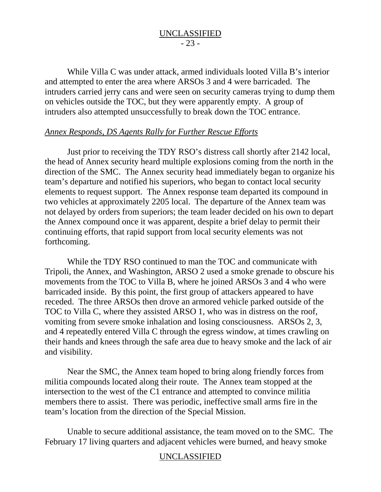While Villa C was under attack, armed individuals looted Villa B's interior and attempted to enter the area where ARSOs 3 and 4 were barricaded. The intruders carried jerry cans and were seen on security cameras trying to dump them on vehicles outside the TOC, but they were apparently empty. A group of intruders also attempted unsuccessfully to break down the TOC entrance.

## *Annex Responds, DS Agents Rally for Further Rescue Efforts*

Just prior to receiving the TDY RSO's distress call shortly after 2142 local, the head of Annex security heard multiple explosions coming from the north in the direction of the SMC. The Annex security head immediately began to organize his team's departure and notified his superiors, who began to contact local security elements to request support. The Annex response team departed its compound in two vehicles at approximately 2205 local. The departure of the Annex team was not delayed by orders from superiors; the team leader decided on his own to depart the Annex compound once it was apparent, despite a brief delay to permit their continuing efforts, that rapid support from local security elements was not forthcoming.

While the TDY RSO continued to man the TOC and communicate with Tripoli, the Annex, and Washington, ARSO 2 used a smoke grenade to obscure his movements from the TOC to Villa B, where he joined ARSOs 3 and 4 who were barricaded inside. By this point, the first group of attackers appeared to have receded. The three ARSOs then drove an armored vehicle parked outside of the TOC to Villa C, where they assisted ARSO 1, who was in distress on the roof, vomiting from severe smoke inhalation and losing consciousness. ARSOs 2, 3, and 4 repeatedly entered Villa C through the egress window, at times crawling on their hands and knees through the safe area due to heavy smoke and the lack of air and visibility.

Near the SMC, the Annex team hoped to bring along friendly forces from militia compounds located along their route. The Annex team stopped at the intersection to the west of the C1 entrance and attempted to convince militia members there to assist. There was periodic, ineffective small arms fire in the team's location from the direction of the Special Mission.

Unable to secure additional assistance, the team moved on to the SMC. The February 17 living quarters and adjacent vehicles were burned, and heavy smoke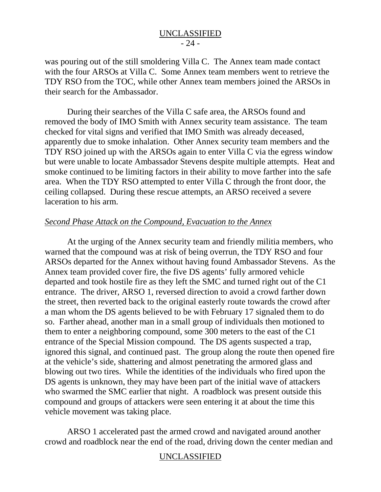## UNCLASSIFIED  $-24-$

was pouring out of the still smoldering Villa C. The Annex team made contact with the four ARSOs at Villa C. Some Annex team members went to retrieve the TDY RSO from the TOC, while other Annex team members joined the ARSOs in their search for the Ambassador.

During their searches of the Villa C safe area, the ARSOs found and removed the body of IMO Smith with Annex security team assistance. The team checked for vital signs and verified that IMO Smith was already deceased, apparently due to smoke inhalation. Other Annex security team members and the TDY RSO joined up with the ARSOs again to enter Villa C via the egress window but were unable to locate Ambassador Stevens despite multiple attempts. Heat and smoke continued to be limiting factors in their ability to move farther into the safe area. When the TDY RSO attempted to enter Villa C through the front door, the ceiling collapsed. During these rescue attempts, an ARSO received a severe laceration to his arm.

#### *Second Phase Attack on the Compound, Evacuation to the Annex*

At the urging of the Annex security team and friendly militia members, who warned that the compound was at risk of being overrun, the TDY RSO and four ARSOs departed for the Annex without having found Ambassador Stevens. As the Annex team provided cover fire, the five DS agents' fully armored vehicle departed and took hostile fire as they left the SMC and turned right out of the C1 entrance. The driver, ARSO 1, reversed direction to avoid a crowd farther down the street, then reverted back to the original easterly route towards the crowd after a man whom the DS agents believed to be with February 17 signaled them to do so. Farther ahead, another man in a small group of individuals then motioned to them to enter a neighboring compound, some 300 meters to the east of the C1 entrance of the Special Mission compound. The DS agents suspected a trap, ignored this signal, and continued past. The group along the route then opened fire at the vehicle's side, shattering and almost penetrating the armored glass and blowing out two tires. While the identities of the individuals who fired upon the DS agents is unknown, they may have been part of the initial wave of attackers who swarmed the SMC earlier that night. A roadblock was present outside this compound and groups of attackers were seen entering it at about the time this vehicle movement was taking place.

ARSO 1 accelerated past the armed crowd and navigated around another crowd and roadblock near the end of the road, driving down the center median and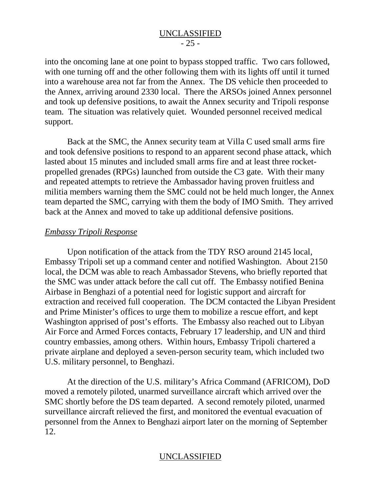### UNCLASSIFIED - 25 -

into the oncoming lane at one point to bypass stopped traffic. Two cars followed, with one turning off and the other following them with its lights off until it turned into a warehouse area not far from the Annex. The DS vehicle then proceeded to the Annex, arriving around 2330 local. There the ARSOs joined Annex personnel and took up defensive positions, to await the Annex security and Tripoli response team. The situation was relatively quiet. Wounded personnel received medical support.

Back at the SMC, the Annex security team at Villa C used small arms fire and took defensive positions to respond to an apparent second phase attack, which lasted about 15 minutes and included small arms fire and at least three rocketpropelled grenades (RPGs) launched from outside the C3 gate. With their many and repeated attempts to retrieve the Ambassador having proven fruitless and militia members warning them the SMC could not be held much longer, the Annex team departed the SMC, carrying with them the body of IMO Smith. They arrived back at the Annex and moved to take up additional defensive positions.

### *Embassy Tripoli Response*

Upon notification of the attack from the TDY RSO around 2145 local, Embassy Tripoli set up a command center and notified Washington. About 2150 local, the DCM was able to reach Ambassador Stevens, who briefly reported that the SMC was under attack before the call cut off. The Embassy notified Benina Airbase in Benghazi of a potential need for logistic support and aircraft for extraction and received full cooperation. The DCM contacted the Libyan President and Prime Minister's offices to urge them to mobilize a rescue effort, and kept Washington apprised of post's efforts. The Embassy also reached out to Libyan Air Force and Armed Forces contacts, February 17 leadership, and UN and third country embassies, among others. Within hours, Embassy Tripoli chartered a private airplane and deployed a seven-person security team, which included two U.S. military personnel, to Benghazi.

At the direction of the U.S. military's Africa Command (AFRICOM), DoD moved a remotely piloted, unarmed surveillance aircraft which arrived over the SMC shortly before the DS team departed. A second remotely piloted, unarmed surveillance aircraft relieved the first, and monitored the eventual evacuation of personnel from the Annex to Benghazi airport later on the morning of September 12.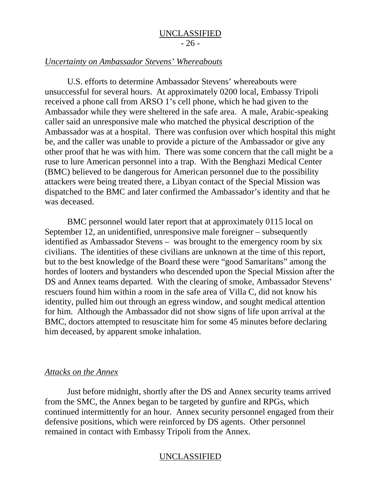#### UNCLASSIFIED - 26 -

#### *Uncertainty on Ambassador Stevens' Whereabouts*

U.S. efforts to determine Ambassador Stevens' whereabouts were unsuccessful for several hours. At approximately 0200 local, Embassy Tripoli received a phone call from ARSO 1's cell phone, which he had given to the Ambassador while they were sheltered in the safe area. A male, Arabic-speaking caller said an unresponsive male who matched the physical description of the Ambassador was at a hospital. There was confusion over which hospital this might be, and the caller was unable to provide a picture of the Ambassador or give any other proof that he was with him. There was some concern that the call might be a ruse to lure American personnel into a trap. With the Benghazi Medical Center (BMC) believed to be dangerous for American personnel due to the possibility attackers were being treated there, a Libyan contact of the Special Mission was dispatched to the BMC and later confirmed the Ambassador's identity and that he was deceased.

BMC personnel would later report that at approximately 0115 local on September 12, an unidentified, unresponsive male foreigner – subsequently identified as Ambassador Stevens – was brought to the emergency room by six civilians. The identities of these civilians are unknown at the time of this report, but to the best knowledge of the Board these were "good Samaritans" among the hordes of looters and bystanders who descended upon the Special Mission after the DS and Annex teams departed. With the clearing of smoke, Ambassador Stevens' rescuers found him within a room in the safe area of Villa C, did not know his identity, pulled him out through an egress window, and sought medical attention for him. Although the Ambassador did not show signs of life upon arrival at the BMC, doctors attempted to resuscitate him for some 45 minutes before declaring him deceased, by apparent smoke inhalation.

#### *Attacks on the Annex*

Just before midnight, shortly after the DS and Annex security teams arrived from the SMC, the Annex began to be targeted by gunfire and RPGs, which continued intermittently for an hour. Annex security personnel engaged from their defensive positions, which were reinforced by DS agents. Other personnel remained in contact with Embassy Tripoli from the Annex.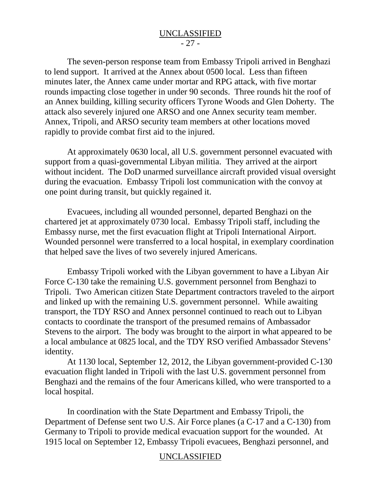## UNCLASSIFIED  $-27 -$

The seven-person response team from Embassy Tripoli arrived in Benghazi to lend support. It arrived at the Annex about 0500 local. Less than fifteen minutes later, the Annex came under mortar and RPG attack, with five mortar rounds impacting close together in under 90 seconds. Three rounds hit the roof of an Annex building, killing security officers Tyrone Woods and Glen Doherty. The attack also severely injured one ARSO and one Annex security team member. Annex, Tripoli, and ARSO security team members at other locations moved rapidly to provide combat first aid to the injured.

At approximately 0630 local, all U.S. government personnel evacuated with support from a quasi-governmental Libyan militia. They arrived at the airport without incident. The DoD unarmed surveillance aircraft provided visual oversight during the evacuation. Embassy Tripoli lost communication with the convoy at one point during transit, but quickly regained it.

Evacuees, including all wounded personnel, departed Benghazi on the chartered jet at approximately 0730 local. Embassy Tripoli staff, including the Embassy nurse, met the first evacuation flight at Tripoli International Airport. Wounded personnel were transferred to a local hospital, in exemplary coordination that helped save the lives of two severely injured Americans.

Embassy Tripoli worked with the Libyan government to have a Libyan Air Force C-130 take the remaining U.S. government personnel from Benghazi to Tripoli. Two American citizen State Department contractors traveled to the airport and linked up with the remaining U.S. government personnel. While awaiting transport, the TDY RSO and Annex personnel continued to reach out to Libyan contacts to coordinate the transport of the presumed remains of Ambassador Stevens to the airport. The body was brought to the airport in what appeared to be a local ambulance at 0825 local, and the TDY RSO verified Ambassador Stevens' identity.

At 1130 local, September 12, 2012, the Libyan government-provided C-130 evacuation flight landed in Tripoli with the last U.S. government personnel from Benghazi and the remains of the four Americans killed, who were transported to a local hospital.

In coordination with the State Department and Embassy Tripoli, the Department of Defense sent two U.S. Air Force planes (a C-17 and a C-130) from Germany to Tripoli to provide medical evacuation support for the wounded. At 1915 local on September 12, Embassy Tripoli evacuees, Benghazi personnel, and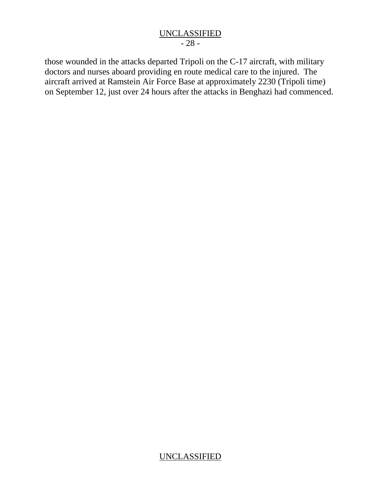## UNCLASSIFIED - 28 -

those wounded in the attacks departed Tripoli on the C-17 aircraft, with military doctors and nurses aboard providing en route medical care to the injured. The aircraft arrived at Ramstein Air Force Base at approximately 2230 (Tripoli time) on September 12, just over 24 hours after the attacks in Benghazi had commenced.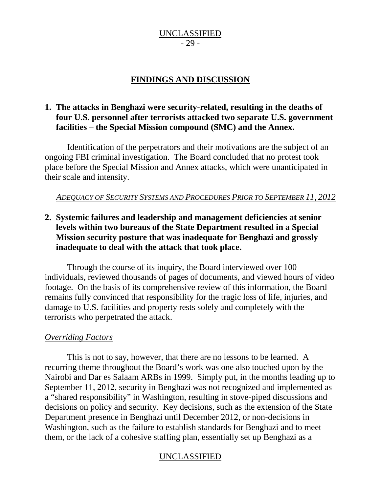## UNCLASSIFIED - 29 -

## **FINDINGS AND DISCUSSION**

## **1. The attacks in Benghazi were security-related, resulting in the deaths of four U.S. personnel after terrorists attacked two separate U.S. government facilities – the Special Mission compound (SMC) and the Annex.**

Identification of the perpetrators and their motivations are the subject of an ongoing FBI criminal investigation. The Board concluded that no protest took place before the Special Mission and Annex attacks, which were unanticipated in their scale and intensity.

### *ADEQUACY OF SECURITY SYSTEMS AND PROCEDURES PRIOR TO SEPTEMBER 11, 2012*

**2. Systemic failures and leadership and management deficiencies at senior levels within two bureaus of the State Department resulted in a Special Mission security posture that was inadequate for Benghazi and grossly inadequate to deal with the attack that took place.**

Through the course of its inquiry, the Board interviewed over 100 individuals, reviewed thousands of pages of documents, and viewed hours of video footage. On the basis of its comprehensive review of this information, the Board remains fully convinced that responsibility for the tragic loss of life, injuries, and damage to U.S. facilities and property rests solely and completely with the terrorists who perpetrated the attack.

### *Overriding Factors*

This is not to say, however, that there are no lessons to be learned. A recurring theme throughout the Board's work was one also touched upon by the Nairobi and Dar es Salaam ARBs in 1999. Simply put, in the months leading up to September 11, 2012, security in Benghazi was not recognized and implemented as a "shared responsibility" in Washington, resulting in stove-piped discussions and decisions on policy and security. Key decisions, such as the extension of the State Department presence in Benghazi until December 2012, or non-decisions in Washington, such as the failure to establish standards for Benghazi and to meet them, or the lack of a cohesive staffing plan, essentially set up Benghazi as a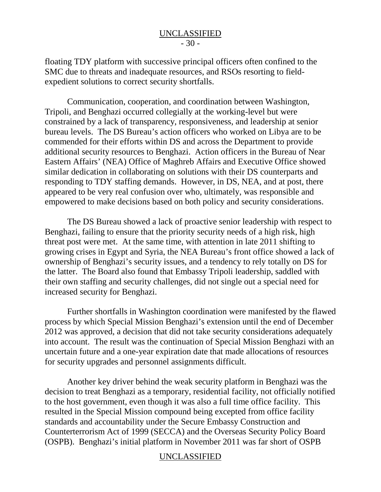floating TDY platform with successive principal officers often confined to the SMC due to threats and inadequate resources, and RSOs resorting to fieldexpedient solutions to correct security shortfalls.

Communication, cooperation, and coordination between Washington, Tripoli, and Benghazi occurred collegially at the working-level but were constrained by a lack of transparency, responsiveness, and leadership at senior bureau levels. The DS Bureau's action officers who worked on Libya are to be commended for their efforts within DS and across the Department to provide additional security resources to Benghazi. Action officers in the Bureau of Near Eastern Affairs' (NEA) Office of Maghreb Affairs and Executive Office showed similar dedication in collaborating on solutions with their DS counterparts and responding to TDY staffing demands. However, in DS, NEA, and at post, there appeared to be very real confusion over who, ultimately, was responsible and empowered to make decisions based on both policy and security considerations.

The DS Bureau showed a lack of proactive senior leadership with respect to Benghazi, failing to ensure that the priority security needs of a high risk, high threat post were met. At the same time, with attention in late 2011 shifting to growing crises in Egypt and Syria, the NEA Bureau's front office showed a lack of ownership of Benghazi's security issues, and a tendency to rely totally on DS for the latter. The Board also found that Embassy Tripoli leadership, saddled with their own staffing and security challenges, did not single out a special need for increased security for Benghazi.

Further shortfalls in Washington coordination were manifested by the flawed process by which Special Mission Benghazi's extension until the end of December 2012 was approved, a decision that did not take security considerations adequately into account. The result was the continuation of Special Mission Benghazi with an uncertain future and a one-year expiration date that made allocations of resources for security upgrades and personnel assignments difficult.

Another key driver behind the weak security platform in Benghazi was the decision to treat Benghazi as a temporary, residential facility, not officially notified to the host government, even though it was also a full time office facility. This resulted in the Special Mission compound being excepted from office facility standards and accountability under the Secure Embassy Construction and Counterterrorism Act of 1999 (SECCA) and the Overseas Security Policy Board (OSPB). Benghazi's initial platform in November 2011 was far short of OSPB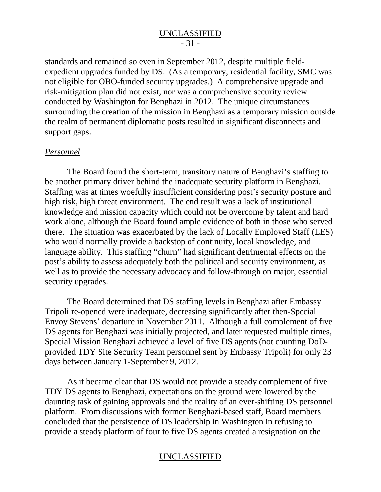standards and remained so even in September 2012, despite multiple fieldexpedient upgrades funded by DS. (As a temporary, residential facility, SMC was not eligible for OBO-funded security upgrades.) A comprehensive upgrade and risk-mitigation plan did not exist, nor was a comprehensive security review conducted by Washington for Benghazi in 2012. The unique circumstances surrounding the creation of the mission in Benghazi as a temporary mission outside the realm of permanent diplomatic posts resulted in significant disconnects and support gaps.

### *Personnel*

The Board found the short-term, transitory nature of Benghazi's staffing to be another primary driver behind the inadequate security platform in Benghazi. Staffing was at times woefully insufficient considering post's security posture and high risk, high threat environment. The end result was a lack of institutional knowledge and mission capacity which could not be overcome by talent and hard work alone, although the Board found ample evidence of both in those who served there. The situation was exacerbated by the lack of Locally Employed Staff (LES) who would normally provide a backstop of continuity, local knowledge, and language ability. This staffing "churn" had significant detrimental effects on the post's ability to assess adequately both the political and security environment, as well as to provide the necessary advocacy and follow-through on major, essential security upgrades.

The Board determined that DS staffing levels in Benghazi after Embassy Tripoli re-opened were inadequate, decreasing significantly after then-Special Envoy Stevens' departure in November 2011. Although a full complement of five DS agents for Benghazi was initially projected, and later requested multiple times, Special Mission Benghazi achieved a level of five DS agents (not counting DoDprovided TDY Site Security Team personnel sent by Embassy Tripoli) for only 23 days between January 1-September 9, 2012.

As it became clear that DS would not provide a steady complement of five TDY DS agents to Benghazi, expectations on the ground were lowered by the daunting task of gaining approvals and the reality of an ever-shifting DS personnel platform. From discussions with former Benghazi-based staff, Board members concluded that the persistence of DS leadership in Washington in refusing to provide a steady platform of four to five DS agents created a resignation on the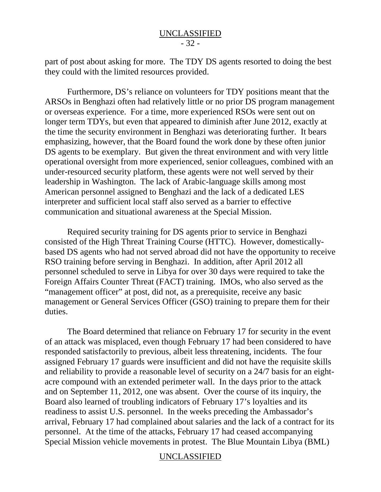part of post about asking for more. The TDY DS agents resorted to doing the best they could with the limited resources provided.

Furthermore, DS's reliance on volunteers for TDY positions meant that the ARSOs in Benghazi often had relatively little or no prior DS program management or overseas experience. For a time, more experienced RSOs were sent out on longer term TDYs, but even that appeared to diminish after June 2012, exactly at the time the security environment in Benghazi was deteriorating further. It bears emphasizing, however, that the Board found the work done by these often junior DS agents to be exemplary. But given the threat environment and with very little operational oversight from more experienced, senior colleagues, combined with an under-resourced security platform, these agents were not well served by their leadership in Washington. The lack of Arabic-language skills among most American personnel assigned to Benghazi and the lack of a dedicated LES interpreter and sufficient local staff also served as a barrier to effective communication and situational awareness at the Special Mission.

Required security training for DS agents prior to service in Benghazi consisted of the High Threat Training Course (HTTC). However, domesticallybased DS agents who had not served abroad did not have the opportunity to receive RSO training before serving in Benghazi. In addition, after April 2012 all personnel scheduled to serve in Libya for over 30 days were required to take the Foreign Affairs Counter Threat (FACT) training. IMOs, who also served as the "management officer" at post, did not, as a prerequisite, receive any basic management or General Services Officer (GSO) training to prepare them for their duties.

The Board determined that reliance on February 17 for security in the event of an attack was misplaced, even though February 17 had been considered to have responded satisfactorily to previous, albeit less threatening, incidents. The four assigned February 17 guards were insufficient and did not have the requisite skills and reliability to provide a reasonable level of security on a 24/7 basis for an eightacre compound with an extended perimeter wall. In the days prior to the attack and on September 11, 2012, one was absent. Over the course of its inquiry, the Board also learned of troubling indicators of February 17's loyalties and its readiness to assist U.S. personnel. In the weeks preceding the Ambassador's arrival, February 17 had complained about salaries and the lack of a contract for its personnel. At the time of the attacks, February 17 had ceased accompanying Special Mission vehicle movements in protest. The Blue Mountain Libya (BML)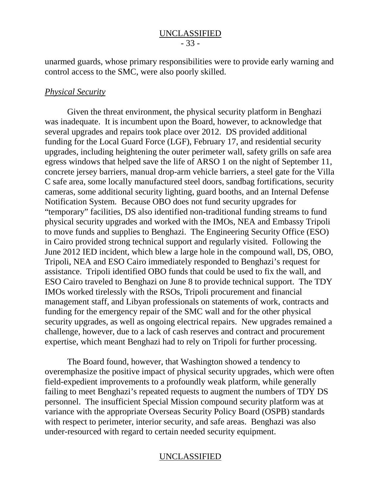unarmed guards, whose primary responsibilities were to provide early warning and control access to the SMC, were also poorly skilled.

#### *Physical Security*

Given the threat environment, the physical security platform in Benghazi was inadequate. It is incumbent upon the Board, however, to acknowledge that several upgrades and repairs took place over 2012. DS provided additional funding for the Local Guard Force (LGF), February 17, and residential security upgrades, including heightening the outer perimeter wall, safety grills on safe area egress windows that helped save the life of ARSO 1 on the night of September 11, concrete jersey barriers, manual drop-arm vehicle barriers, a steel gate for the Villa C safe area, some locally manufactured steel doors, sandbag fortifications, security cameras, some additional security lighting, guard booths, and an Internal Defense Notification System. Because OBO does not fund security upgrades for "temporary" facilities, DS also identified non-traditional funding streams to fund physical security upgrades and worked with the IMOs, NEA and Embassy Tripoli to move funds and supplies to Benghazi. The Engineering Security Office (ESO) in Cairo provided strong technical support and regularly visited. Following the June 2012 IED incident, which blew a large hole in the compound wall, DS, OBO, Tripoli, NEA and ESO Cairo immediately responded to Benghazi's request for assistance. Tripoli identified OBO funds that could be used to fix the wall, and ESO Cairo traveled to Benghazi on June 8 to provide technical support. The TDY IMOs worked tirelessly with the RSOs, Tripoli procurement and financial management staff, and Libyan professionals on statements of work, contracts and funding for the emergency repair of the SMC wall and for the other physical security upgrades, as well as ongoing electrical repairs. New upgrades remained a challenge, however, due to a lack of cash reserves and contract and procurement expertise, which meant Benghazi had to rely on Tripoli for further processing.

The Board found, however, that Washington showed a tendency to overemphasize the positive impact of physical security upgrades, which were often field-expedient improvements to a profoundly weak platform, while generally failing to meet Benghazi's repeated requests to augment the numbers of TDY DS personnel. The insufficient Special Mission compound security platform was at variance with the appropriate Overseas Security Policy Board (OSPB) standards with respect to perimeter, interior security, and safe areas. Benghazi was also under-resourced with regard to certain needed security equipment.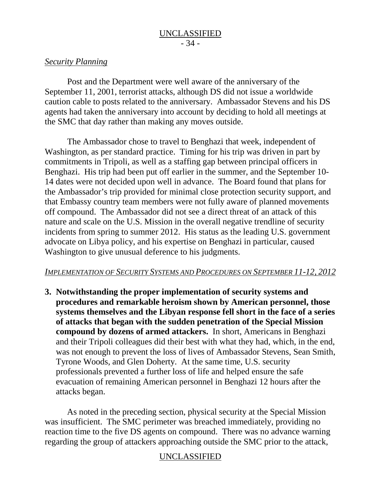## *Security Planning*

Post and the Department were well aware of the anniversary of the September 11, 2001, terrorist attacks, although DS did not issue a worldwide caution cable to posts related to the anniversary. Ambassador Stevens and his DS agents had taken the anniversary into account by deciding to hold all meetings at the SMC that day rather than making any moves outside.

The Ambassador chose to travel to Benghazi that week, independent of Washington, as per standard practice. Timing for his trip was driven in part by commitments in Tripoli, as well as a staffing gap between principal officers in Benghazi. His trip had been put off earlier in the summer, and the September 10- 14 dates were not decided upon well in advance. The Board found that plans for the Ambassador's trip provided for minimal close protection security support, and that Embassy country team members were not fully aware of planned movements off compound. The Ambassador did not see a direct threat of an attack of this nature and scale on the U.S. Mission in the overall negative trendline of security incidents from spring to summer 2012. His status as the leading U.S. government advocate on Libya policy, and his expertise on Benghazi in particular, caused Washington to give unusual deference to his judgments.

### *IMPLEMENTATION OF SECURITY SYSTEMS AND PROCEDURES ON SEPTEMBER 11-12, 2012*

**3. Notwithstanding the proper implementation of security systems and procedures and remarkable heroism shown by American personnel, those systems themselves and the Libyan response fell short in the face of a series of attacks that began with the sudden penetration of the Special Mission compound by dozens of armed attackers.** In short, Americans in Benghazi and their Tripoli colleagues did their best with what they had, which, in the end, was not enough to prevent the loss of lives of Ambassador Stevens, Sean Smith, Tyrone Woods, and Glen Doherty. At the same time, U.S. security professionals prevented a further loss of life and helped ensure the safe evacuation of remaining American personnel in Benghazi 12 hours after the attacks began.

As noted in the preceding section, physical security at the Special Mission was insufficient. The SMC perimeter was breached immediately, providing no reaction time to the five DS agents on compound. There was no advance warning regarding the group of attackers approaching outside the SMC prior to the attack,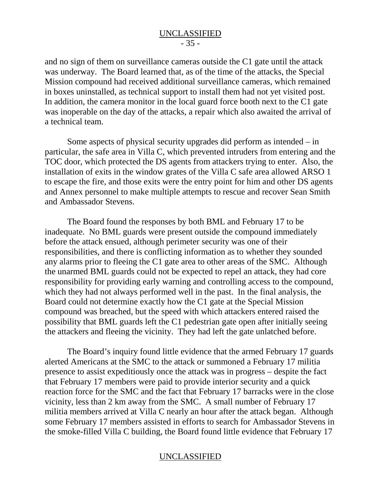### UNCLASSIFIED - 35 -

and no sign of them on surveillance cameras outside the C1 gate until the attack was underway. The Board learned that, as of the time of the attacks, the Special Mission compound had received additional surveillance cameras, which remained in boxes uninstalled, as technical support to install them had not yet visited post. In addition, the camera monitor in the local guard force booth next to the C1 gate was inoperable on the day of the attacks, a repair which also awaited the arrival of a technical team.

Some aspects of physical security upgrades did perform as intended – in particular, the safe area in Villa C, which prevented intruders from entering and the TOC door, which protected the DS agents from attackers trying to enter. Also, the installation of exits in the window grates of the Villa C safe area allowed ARSO 1 to escape the fire, and those exits were the entry point for him and other DS agents and Annex personnel to make multiple attempts to rescue and recover Sean Smith and Ambassador Stevens.

The Board found the responses by both BML and February 17 to be inadequate. No BML guards were present outside the compound immediately before the attack ensued, although perimeter security was one of their responsibilities, and there is conflicting information as to whether they sounded any alarms prior to fleeing the C1 gate area to other areas of the SMC. Although the unarmed BML guards could not be expected to repel an attack, they had core responsibility for providing early warning and controlling access to the compound, which they had not always performed well in the past. In the final analysis, the Board could not determine exactly how the C1 gate at the Special Mission compound was breached, but the speed with which attackers entered raised the possibility that BML guards left the C1 pedestrian gate open after initially seeing the attackers and fleeing the vicinity. They had left the gate unlatched before.

The Board's inquiry found little evidence that the armed February 17 guards alerted Americans at the SMC to the attack or summoned a February 17 militia presence to assist expeditiously once the attack was in progress – despite the fact that February 17 members were paid to provide interior security and a quick reaction force for the SMC and the fact that February 17 barracks were in the close vicinity, less than 2 km away from the SMC. A small number of February 17 militia members arrived at Villa C nearly an hour after the attack began. Although some February 17 members assisted in efforts to search for Ambassador Stevens in the smoke-filled Villa C building, the Board found little evidence that February 17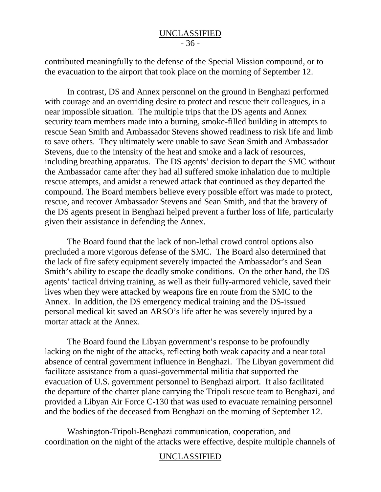contributed meaningfully to the defense of the Special Mission compound, or to the evacuation to the airport that took place on the morning of September 12.

In contrast, DS and Annex personnel on the ground in Benghazi performed with courage and an overriding desire to protect and rescue their colleagues, in a near impossible situation. The multiple trips that the DS agents and Annex security team members made into a burning, smoke-filled building in attempts to rescue Sean Smith and Ambassador Stevens showed readiness to risk life and limb to save others. They ultimately were unable to save Sean Smith and Ambassador Stevens, due to the intensity of the heat and smoke and a lack of resources, including breathing apparatus. The DS agents' decision to depart the SMC without the Ambassador came after they had all suffered smoke inhalation due to multiple rescue attempts, and amidst a renewed attack that continued as they departed the compound. The Board members believe every possible effort was made to protect, rescue, and recover Ambassador Stevens and Sean Smith, and that the bravery of the DS agents present in Benghazi helped prevent a further loss of life, particularly given their assistance in defending the Annex.

The Board found that the lack of non-lethal crowd control options also precluded a more vigorous defense of the SMC. The Board also determined that the lack of fire safety equipment severely impacted the Ambassador's and Sean Smith's ability to escape the deadly smoke conditions. On the other hand, the DS agents' tactical driving training, as well as their fully-armored vehicle, saved their lives when they were attacked by weapons fire en route from the SMC to the Annex. In addition, the DS emergency medical training and the DS-issued personal medical kit saved an ARSO's life after he was severely injured by a mortar attack at the Annex.

The Board found the Libyan government's response to be profoundly lacking on the night of the attacks, reflecting both weak capacity and a near total absence of central government influence in Benghazi. The Libyan government did facilitate assistance from a quasi-governmental militia that supported the evacuation of U.S. government personnel to Benghazi airport. It also facilitated the departure of the charter plane carrying the Tripoli rescue team to Benghazi, and provided a Libyan Air Force C-130 that was used to evacuate remaining personnel and the bodies of the deceased from Benghazi on the morning of September 12.

Washington-Tripoli-Benghazi communication, cooperation, and coordination on the night of the attacks were effective, despite multiple channels of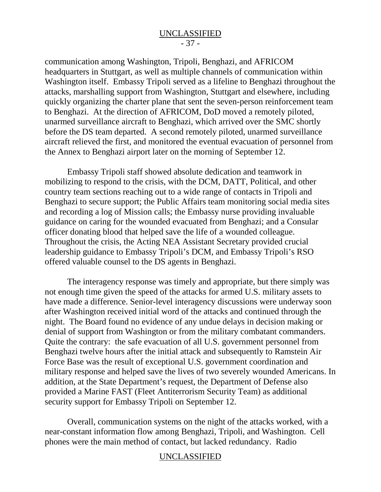## UNCLASSIFIED - 37 -

communication among Washington, Tripoli, Benghazi, and AFRICOM headquarters in Stuttgart, as well as multiple channels of communication within Washington itself. Embassy Tripoli served as a lifeline to Benghazi throughout the attacks, marshalling support from Washington, Stuttgart and elsewhere, including quickly organizing the charter plane that sent the seven-person reinforcement team to Benghazi. At the direction of AFRICOM, DoD moved a remotely piloted, unarmed surveillance aircraft to Benghazi, which arrived over the SMC shortly before the DS team departed. A second remotely piloted, unarmed surveillance aircraft relieved the first, and monitored the eventual evacuation of personnel from the Annex to Benghazi airport later on the morning of September 12.

Embassy Tripoli staff showed absolute dedication and teamwork in mobilizing to respond to the crisis, with the DCM, DATT, Political, and other country team sections reaching out to a wide range of contacts in Tripoli and Benghazi to secure support; the Public Affairs team monitoring social media sites and recording a log of Mission calls; the Embassy nurse providing invaluable guidance on caring for the wounded evacuated from Benghazi; and a Consular officer donating blood that helped save the life of a wounded colleague. Throughout the crisis, the Acting NEA Assistant Secretary provided crucial leadership guidance to Embassy Tripoli's DCM, and Embassy Tripoli's RSO offered valuable counsel to the DS agents in Benghazi.

The interagency response was timely and appropriate, but there simply was not enough time given the speed of the attacks for armed U.S. military assets to have made a difference. Senior-level interagency discussions were underway soon after Washington received initial word of the attacks and continued through the night. The Board found no evidence of any undue delays in decision making or denial of support from Washington or from the military combatant commanders. Quite the contrary: the safe evacuation of all U.S. government personnel from Benghazi twelve hours after the initial attack and subsequently to Ramstein Air Force Base was the result of exceptional U.S. government coordination and military response and helped save the lives of two severely wounded Americans. In addition, at the State Department's request, the Department of Defense also provided a Marine FAST (Fleet Antiterrorism Security Team) as additional security support for Embassy Tripoli on September 12.

Overall, communication systems on the night of the attacks worked, with a near-constant information flow among Benghazi, Tripoli, and Washington. Cell phones were the main method of contact, but lacked redundancy. Radio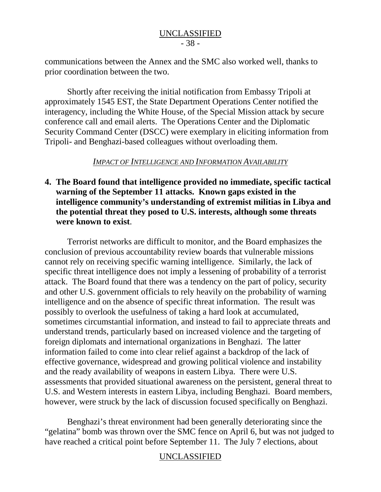communications between the Annex and the SMC also worked well, thanks to prior coordination between the two.

Shortly after receiving the initial notification from Embassy Tripoli at approximately 1545 EST, the State Department Operations Center notified the interagency, including the White House, of the Special Mission attack by secure conference call and email alerts. The Operations Center and the Diplomatic Security Command Center (DSCC) were exemplary in eliciting information from Tripoli- and Benghazi-based colleagues without overloading them.

#### *IMPACT OF INTELLIGENCE AND INFORMATION AVAILABILITY*

## **4. The Board found that intelligence provided no immediate, specific tactical warning of the September 11 attacks. Known gaps existed in the intelligence community's understanding of extremist militias in Libya and the potential threat they posed to U.S. interests, although some threats were known to exist**.

Terrorist networks are difficult to monitor, and the Board emphasizes the conclusion of previous accountability review boards that vulnerable missions cannot rely on receiving specific warning intelligence. Similarly, the lack of specific threat intelligence does not imply a lessening of probability of a terrorist attack. The Board found that there was a tendency on the part of policy, security and other U.S. government officials to rely heavily on the probability of warning intelligence and on the absence of specific threat information. The result was possibly to overlook the usefulness of taking a hard look at accumulated, sometimes circumstantial information, and instead to fail to appreciate threats and understand trends, particularly based on increased violence and the targeting of foreign diplomats and international organizations in Benghazi. The latter information failed to come into clear relief against a backdrop of the lack of effective governance, widespread and growing political violence and instability and the ready availability of weapons in eastern Libya. There were U.S. assessments that provided situational awareness on the persistent, general threat to U.S. and Western interests in eastern Libya, including Benghazi. Board members, however, were struck by the lack of discussion focused specifically on Benghazi.

Benghazi's threat environment had been generally deteriorating since the "gelatina" bomb was thrown over the SMC fence on April 6, but was not judged to have reached a critical point before September 11. The July 7 elections, about